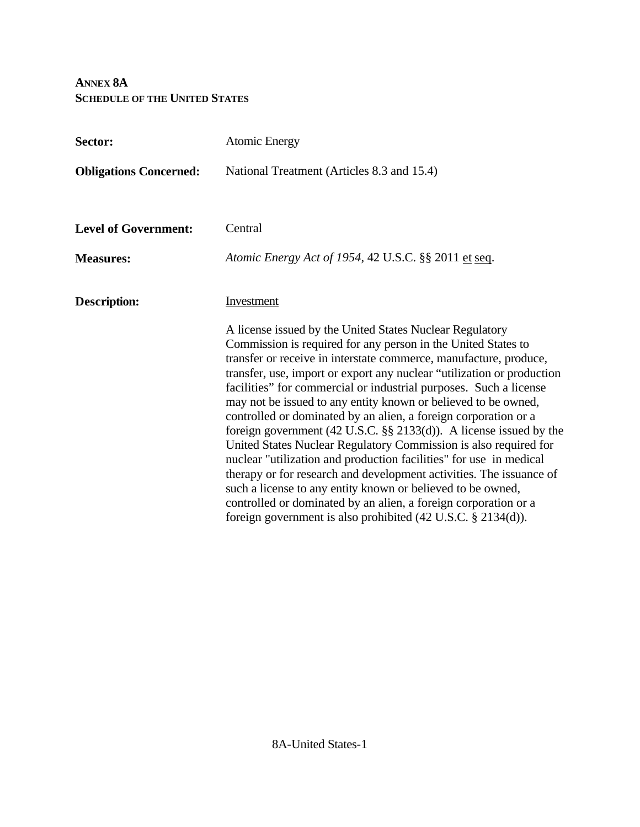## **ANNEX 8A SCHEDULE OF THE UNITED STATES**

| Sector:                       | <b>Atomic Energy</b>                                                                                                                                                                                                                                                                                                                                                                                                                                                                                                                                                                                                                                                                                                                                                                                                                                                                                                                                                                        |  |  |
|-------------------------------|---------------------------------------------------------------------------------------------------------------------------------------------------------------------------------------------------------------------------------------------------------------------------------------------------------------------------------------------------------------------------------------------------------------------------------------------------------------------------------------------------------------------------------------------------------------------------------------------------------------------------------------------------------------------------------------------------------------------------------------------------------------------------------------------------------------------------------------------------------------------------------------------------------------------------------------------------------------------------------------------|--|--|
| <b>Obligations Concerned:</b> | National Treatment (Articles 8.3 and 15.4)                                                                                                                                                                                                                                                                                                                                                                                                                                                                                                                                                                                                                                                                                                                                                                                                                                                                                                                                                  |  |  |
| <b>Level of Government:</b>   | Central                                                                                                                                                                                                                                                                                                                                                                                                                                                                                                                                                                                                                                                                                                                                                                                                                                                                                                                                                                                     |  |  |
| <b>Measures:</b>              | Atomic Energy Act of 1954, 42 U.S.C. §§ 2011 et seq.                                                                                                                                                                                                                                                                                                                                                                                                                                                                                                                                                                                                                                                                                                                                                                                                                                                                                                                                        |  |  |
| <b>Description:</b>           | Investment                                                                                                                                                                                                                                                                                                                                                                                                                                                                                                                                                                                                                                                                                                                                                                                                                                                                                                                                                                                  |  |  |
|                               | A license issued by the United States Nuclear Regulatory<br>Commission is required for any person in the United States to<br>transfer or receive in interstate commerce, manufacture, produce,<br>transfer, use, import or export any nuclear "utilization or production<br>facilities" for commercial or industrial purposes. Such a license<br>may not be issued to any entity known or believed to be owned,<br>controlled or dominated by an alien, a foreign corporation or a<br>foreign government (42 U.S.C. $\S\S$ 2133(d)). A license issued by the<br>United States Nuclear Regulatory Commission is also required for<br>nuclear "utilization and production facilities" for use in medical<br>therapy or for research and development activities. The issuance of<br>such a license to any entity known or believed to be owned,<br>controlled or dominated by an alien, a foreign corporation or a<br>foreign government is also prohibited $(42 \text{ U.S.C. } § 2134(d))$ . |  |  |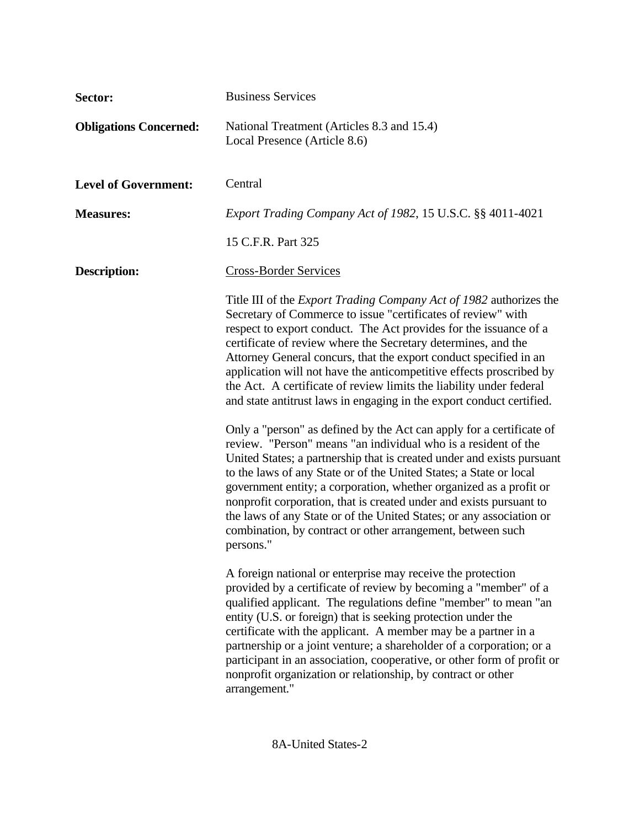| Sector:                       | <b>Business Services</b>                                                                                                                                                                                                                                                                                                                                                                                                                                                                                                                                                    |  |  |
|-------------------------------|-----------------------------------------------------------------------------------------------------------------------------------------------------------------------------------------------------------------------------------------------------------------------------------------------------------------------------------------------------------------------------------------------------------------------------------------------------------------------------------------------------------------------------------------------------------------------------|--|--|
| <b>Obligations Concerned:</b> | National Treatment (Articles 8.3 and 15.4)<br>Local Presence (Article 8.6)                                                                                                                                                                                                                                                                                                                                                                                                                                                                                                  |  |  |
| <b>Level of Government:</b>   | Central                                                                                                                                                                                                                                                                                                                                                                                                                                                                                                                                                                     |  |  |
| <b>Measures:</b>              | <i>Export Trading Company Act of 1982, 15 U.S.C. §§ 4011-4021</i>                                                                                                                                                                                                                                                                                                                                                                                                                                                                                                           |  |  |
|                               | 15 C.F.R. Part 325                                                                                                                                                                                                                                                                                                                                                                                                                                                                                                                                                          |  |  |
| <b>Description:</b>           | <b>Cross-Border Services</b>                                                                                                                                                                                                                                                                                                                                                                                                                                                                                                                                                |  |  |
|                               | Title III of the <i>Export Trading Company Act of 1982</i> authorizes the<br>Secretary of Commerce to issue "certificates of review" with<br>respect to export conduct. The Act provides for the issuance of a<br>certificate of review where the Secretary determines, and the<br>Attorney General concurs, that the export conduct specified in an<br>application will not have the anticompetitive effects proscribed by<br>the Act. A certificate of review limits the liability under federal<br>and state antitrust laws in engaging in the export conduct certified. |  |  |
| persons."                     | Only a "person" as defined by the Act can apply for a certificate of<br>review. "Person" means "an individual who is a resident of the<br>United States; a partnership that is created under and exists pursuant<br>to the laws of any State or of the United States; a State or local<br>government entity; a corporation, whether organized as a profit or<br>nonprofit corporation, that is created under and exists pursuant to<br>the laws of any State or of the United States; or any association or<br>combination, by contract or other arrangement, between such  |  |  |
|                               | A foreign national or enterprise may receive the protection<br>provided by a certificate of review by becoming a "member" of a<br>qualified applicant. The regulations define "member" to mean "an<br>entity (U.S. or foreign) that is seeking protection under the<br>certificate with the applicant. A member may be a partner in a<br>partnership or a joint venture; a shareholder of a corporation; or a<br>participant in an association, cooperative, or other form of profit or<br>nonprofit organization or relationship, by contract or other<br>arrangement."    |  |  |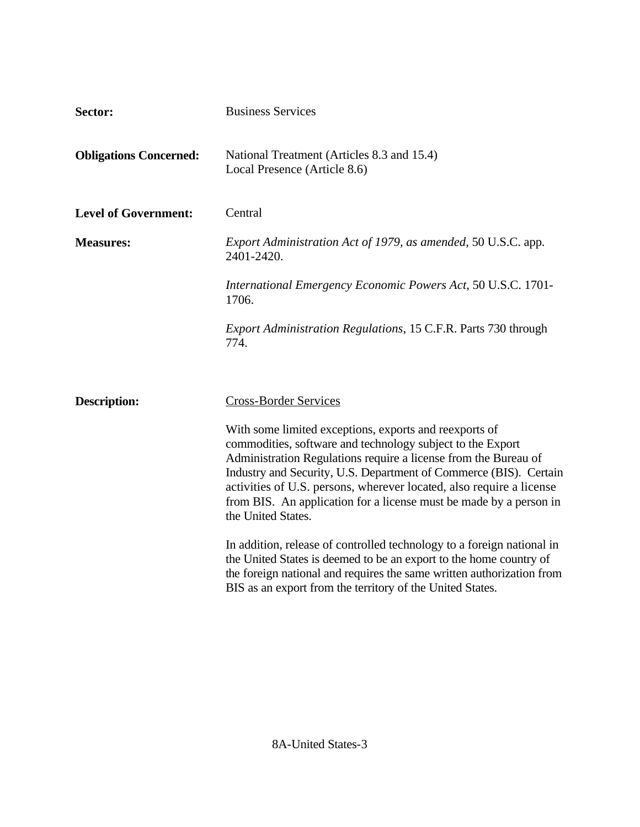| Sector:                       | <b>Business Services</b>                                                                                                                                                                                                                                                                                                                                                                                                         |  |
|-------------------------------|----------------------------------------------------------------------------------------------------------------------------------------------------------------------------------------------------------------------------------------------------------------------------------------------------------------------------------------------------------------------------------------------------------------------------------|--|
| <b>Obligations Concerned:</b> | National Treatment (Articles 8.3 and 15.4)<br>Local Presence (Article 8.6)                                                                                                                                                                                                                                                                                                                                                       |  |
| <b>Level of Government:</b>   | Central                                                                                                                                                                                                                                                                                                                                                                                                                          |  |
| <b>Measures:</b>              | Export Administration Act of 1979, as amended, 50 U.S.C. app.<br>2401-2420.                                                                                                                                                                                                                                                                                                                                                      |  |
|                               | International Emergency Economic Powers Act, 50 U.S.C. 1701-<br>1706.                                                                                                                                                                                                                                                                                                                                                            |  |
|                               | <i>Export Administration Regulations, 15 C.F.R. Parts 730 through</i><br>774.                                                                                                                                                                                                                                                                                                                                                    |  |
|                               |                                                                                                                                                                                                                                                                                                                                                                                                                                  |  |
| <b>Description:</b>           | <b>Cross-Border Services</b>                                                                                                                                                                                                                                                                                                                                                                                                     |  |
|                               | With some limited exceptions, exports and reexports of<br>commodities, software and technology subject to the Export<br>Administration Regulations require a license from the Bureau of<br>Industry and Security, U.S. Department of Commerce (BIS). Certain<br>activities of U.S. persons, wherever located, also require a license<br>from BIS. An application for a license must be made by a person in<br>the United States. |  |
|                               | In addition, release of controlled technology to a foreign national in<br>the United States is deemed to be an export to the home country of<br>the foreign national and requires the same written authorization from<br>BIS as an export from the territory of the United States.                                                                                                                                               |  |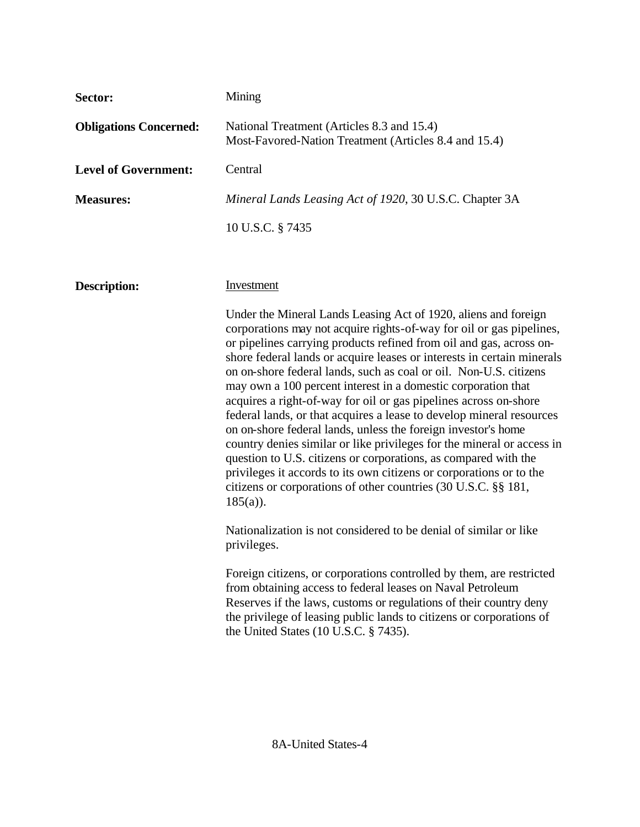| Sector:                       | Mining                                                                                                                                                                                                                                                                                                                                                                                                                                                                                                                                                                                                                                                                                                                                                                                                                                                                                                                                           |  |  |
|-------------------------------|--------------------------------------------------------------------------------------------------------------------------------------------------------------------------------------------------------------------------------------------------------------------------------------------------------------------------------------------------------------------------------------------------------------------------------------------------------------------------------------------------------------------------------------------------------------------------------------------------------------------------------------------------------------------------------------------------------------------------------------------------------------------------------------------------------------------------------------------------------------------------------------------------------------------------------------------------|--|--|
| <b>Obligations Concerned:</b> | National Treatment (Articles 8.3 and 15.4)<br>Most-Favored-Nation Treatment (Articles 8.4 and 15.4)                                                                                                                                                                                                                                                                                                                                                                                                                                                                                                                                                                                                                                                                                                                                                                                                                                              |  |  |
| <b>Level of Government:</b>   | Central                                                                                                                                                                                                                                                                                                                                                                                                                                                                                                                                                                                                                                                                                                                                                                                                                                                                                                                                          |  |  |
| <b>Measures:</b>              | Mineral Lands Leasing Act of 1920, 30 U.S.C. Chapter 3A                                                                                                                                                                                                                                                                                                                                                                                                                                                                                                                                                                                                                                                                                                                                                                                                                                                                                          |  |  |
|                               | 10 U.S.C. § 7435                                                                                                                                                                                                                                                                                                                                                                                                                                                                                                                                                                                                                                                                                                                                                                                                                                                                                                                                 |  |  |
|                               |                                                                                                                                                                                                                                                                                                                                                                                                                                                                                                                                                                                                                                                                                                                                                                                                                                                                                                                                                  |  |  |
| <b>Description:</b>           | Investment                                                                                                                                                                                                                                                                                                                                                                                                                                                                                                                                                                                                                                                                                                                                                                                                                                                                                                                                       |  |  |
|                               | Under the Mineral Lands Leasing Act of 1920, aliens and foreign<br>corporations may not acquire rights-of-way for oil or gas pipelines,<br>or pipelines carrying products refined from oil and gas, across on-<br>shore federal lands or acquire leases or interests in certain minerals<br>on on-shore federal lands, such as coal or oil. Non-U.S. citizens<br>may own a 100 percent interest in a domestic corporation that<br>acquires a right-of-way for oil or gas pipelines across on-shore<br>federal lands, or that acquires a lease to develop mineral resources<br>on on-shore federal lands, unless the foreign investor's home<br>country denies similar or like privileges for the mineral or access in<br>question to U.S. citizens or corporations, as compared with the<br>privileges it accords to its own citizens or corporations or to the<br>citizens or corporations of other countries (30 U.S.C. §§ 181,<br>$185(a)$ ). |  |  |
|                               | Nationalization is not considered to be denial of similar or like<br>privileges.                                                                                                                                                                                                                                                                                                                                                                                                                                                                                                                                                                                                                                                                                                                                                                                                                                                                 |  |  |
|                               | Foreign citizens, or corporations controlled by them, are restricted<br>from obtaining access to federal leases on Naval Petroleum<br>Reserves if the laws, customs or regulations of their country deny<br>the privilege of leasing public lands to citizens or corporations of<br>the United States (10 U.S.C. § 7435).                                                                                                                                                                                                                                                                                                                                                                                                                                                                                                                                                                                                                        |  |  |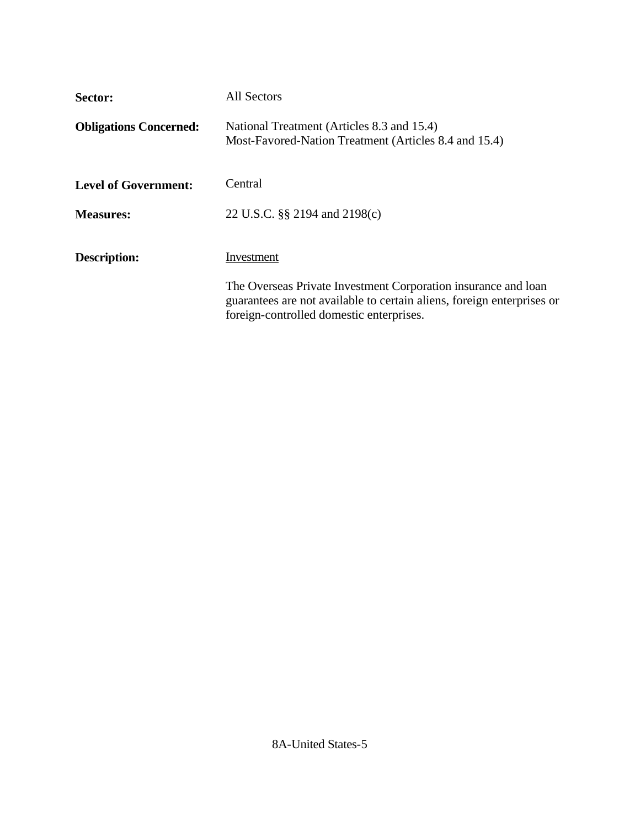| Sector:                       | All Sectors                                                                                                                                                                          |
|-------------------------------|--------------------------------------------------------------------------------------------------------------------------------------------------------------------------------------|
| <b>Obligations Concerned:</b> | National Treatment (Articles 8.3 and 15.4)<br>Most-Favored-Nation Treatment (Articles 8.4 and 15.4)                                                                                  |
| <b>Level of Government:</b>   | Central                                                                                                                                                                              |
| <b>Measures:</b>              | 22 U.S.C. §§ 2194 and 2198(c)                                                                                                                                                        |
| Description:                  | Investment                                                                                                                                                                           |
|                               | The Overseas Private Investment Corporation insurance and loan<br>guarantees are not available to certain aliens, foreign enterprises or<br>foreign-controlled domestic enterprises. |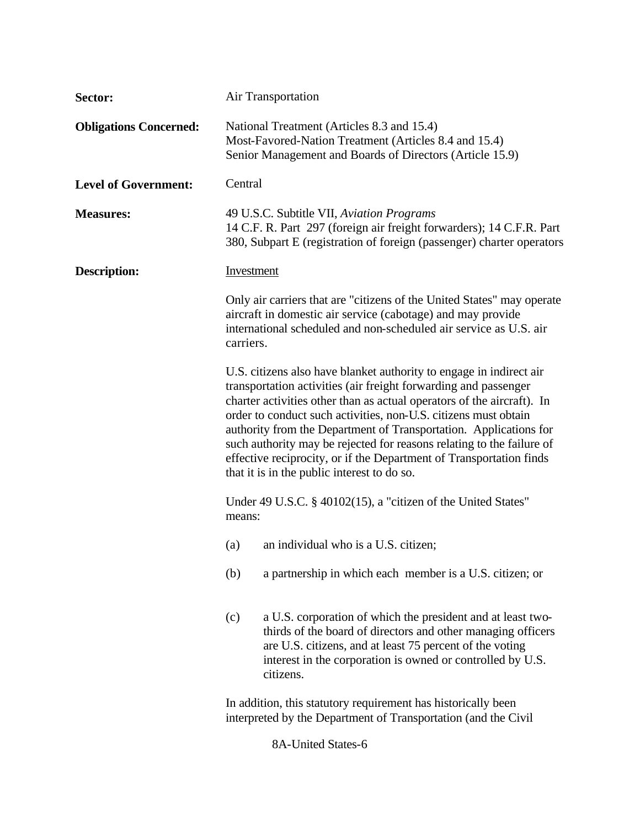| Sector:                       | Air Transportation                                                                                                                                                                                                                                                                                                                                                                                                                                                                                                                                      |  |  |
|-------------------------------|---------------------------------------------------------------------------------------------------------------------------------------------------------------------------------------------------------------------------------------------------------------------------------------------------------------------------------------------------------------------------------------------------------------------------------------------------------------------------------------------------------------------------------------------------------|--|--|
| <b>Obligations Concerned:</b> | National Treatment (Articles 8.3 and 15.4)<br>Most-Favored-Nation Treatment (Articles 8.4 and 15.4)<br>Senior Management and Boards of Directors (Article 15.9)                                                                                                                                                                                                                                                                                                                                                                                         |  |  |
| <b>Level of Government:</b>   | Central                                                                                                                                                                                                                                                                                                                                                                                                                                                                                                                                                 |  |  |
| <b>Measures:</b>              | 49 U.S.C. Subtitle VII, Aviation Programs<br>14 C.F. R. Part 297 (foreign air freight forwarders); 14 C.F.R. Part<br>380, Subpart E (registration of foreign (passenger) charter operators                                                                                                                                                                                                                                                                                                                                                              |  |  |
| <b>Description:</b>           | <b>Investment</b>                                                                                                                                                                                                                                                                                                                                                                                                                                                                                                                                       |  |  |
|                               | Only air carriers that are "citizens of the United States" may operate<br>aircraft in domestic air service (cabotage) and may provide<br>international scheduled and non-scheduled air service as U.S. air<br>carriers.                                                                                                                                                                                                                                                                                                                                 |  |  |
|                               | U.S. citizens also have blanket authority to engage in indirect air<br>transportation activities (air freight forwarding and passenger<br>charter activities other than as actual operators of the aircraft). In<br>order to conduct such activities, non-U.S. citizens must obtain<br>authority from the Department of Transportation. Applications for<br>such authority may be rejected for reasons relating to the failure of<br>effective reciprocity, or if the Department of Transportation finds<br>that it is in the public interest to do so. |  |  |
|                               | Under 49 U.S.C. § 40102(15), a "citizen of the United States"<br>means:                                                                                                                                                                                                                                                                                                                                                                                                                                                                                 |  |  |
|                               | an individual who is a U.S. citizen;<br>(a)                                                                                                                                                                                                                                                                                                                                                                                                                                                                                                             |  |  |
|                               | a partnership in which each member is a U.S. citizen; or<br>(b)                                                                                                                                                                                                                                                                                                                                                                                                                                                                                         |  |  |
|                               | a U.S. corporation of which the president and at least two-<br>(c)<br>thirds of the board of directors and other managing officers<br>are U.S. citizens, and at least 75 percent of the voting<br>interest in the corporation is owned or controlled by U.S.<br>citizens.                                                                                                                                                                                                                                                                               |  |  |
|                               | In addition, this statutory requirement has historically been<br>interpreted by the Department of Transportation (and the Civil                                                                                                                                                                                                                                                                                                                                                                                                                         |  |  |

8A-United States-6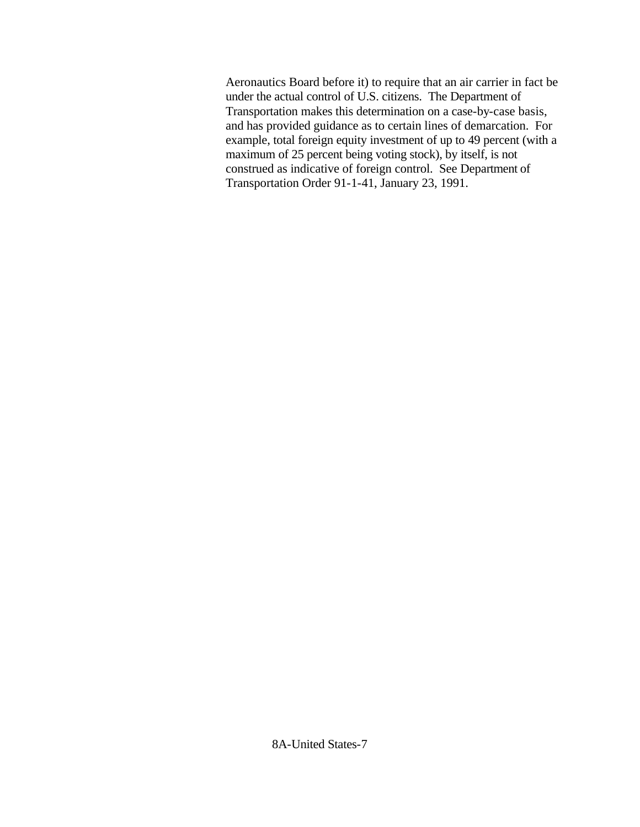Aeronautics Board before it) to require that an air carrier in fact be under the actual control of U.S. citizens. The Department of Transportation makes this determination on a case-by-case basis, and has provided guidance as to certain lines of demarcation. For example, total foreign equity investment of up to 49 percent (with a maximum of 25 percent being voting stock), by itself, is not construed as indicative of foreign control. See Department of Transportation Order 91-1-41, January 23, 1991.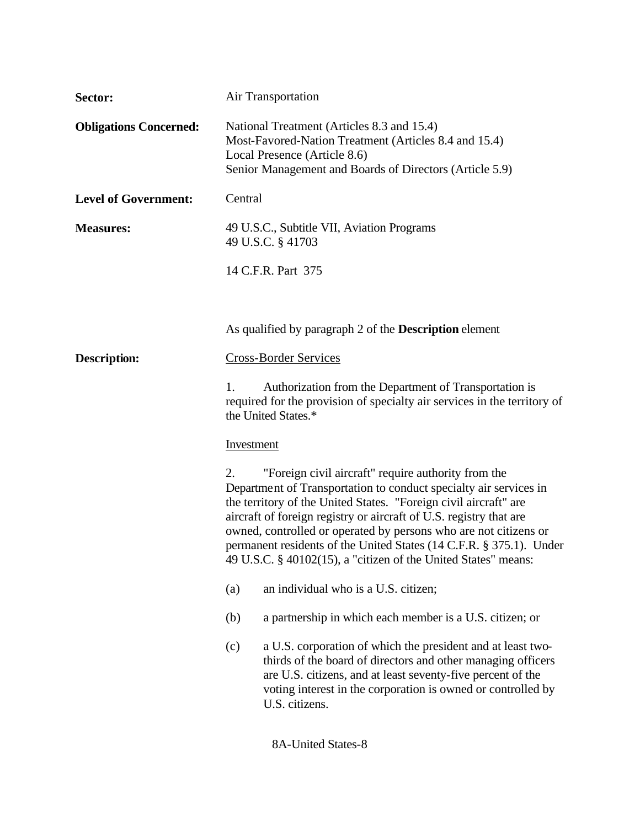| Sector:                       | <b>Air Transportation</b>                                                                                                                                                                                                                                                                                                                                                                                                                                                             |  |  |  |
|-------------------------------|---------------------------------------------------------------------------------------------------------------------------------------------------------------------------------------------------------------------------------------------------------------------------------------------------------------------------------------------------------------------------------------------------------------------------------------------------------------------------------------|--|--|--|
| <b>Obligations Concerned:</b> | National Treatment (Articles 8.3 and 15.4)<br>Most-Favored-Nation Treatment (Articles 8.4 and 15.4)<br>Local Presence (Article 8.6)<br>Senior Management and Boards of Directors (Article 5.9)                                                                                                                                                                                                                                                                                        |  |  |  |
| <b>Level of Government:</b>   | Central                                                                                                                                                                                                                                                                                                                                                                                                                                                                               |  |  |  |
| <b>Measures:</b>              | 49 U.S.C., Subtitle VII, Aviation Programs<br>49 U.S.C. § 41703                                                                                                                                                                                                                                                                                                                                                                                                                       |  |  |  |
|                               | 14 C.F.R. Part 375                                                                                                                                                                                                                                                                                                                                                                                                                                                                    |  |  |  |
|                               |                                                                                                                                                                                                                                                                                                                                                                                                                                                                                       |  |  |  |
|                               | As qualified by paragraph 2 of the <b>Description</b> element                                                                                                                                                                                                                                                                                                                                                                                                                         |  |  |  |
| <b>Description:</b>           | <b>Cross-Border Services</b>                                                                                                                                                                                                                                                                                                                                                                                                                                                          |  |  |  |
|                               | Authorization from the Department of Transportation is<br>1.<br>required for the provision of specialty air services in the territory of<br>the United States.*                                                                                                                                                                                                                                                                                                                       |  |  |  |
|                               | Investment                                                                                                                                                                                                                                                                                                                                                                                                                                                                            |  |  |  |
|                               | "Foreign civil aircraft" require authority from the<br>2.<br>Department of Transportation to conduct specialty air services in<br>the territory of the United States. "Foreign civil aircraft" are<br>aircraft of foreign registry or aircraft of U.S. registry that are<br>owned, controlled or operated by persons who are not citizens or<br>permanent residents of the United States (14 C.F.R. § 375.1). Under<br>49 U.S.C. § 40102(15), a "citizen of the United States" means: |  |  |  |
|                               | an individual who is a U.S. citizen;<br>(a)                                                                                                                                                                                                                                                                                                                                                                                                                                           |  |  |  |
|                               | a partnership in which each member is a U.S. citizen; or<br>(b)                                                                                                                                                                                                                                                                                                                                                                                                                       |  |  |  |
|                               | a U.S. corporation of which the president and at least two-<br>(c)<br>thirds of the board of directors and other managing officers<br>are U.S. citizens, and at least seventy-five percent of the<br>voting interest in the corporation is owned or controlled by<br>U.S. citizens.                                                                                                                                                                                                   |  |  |  |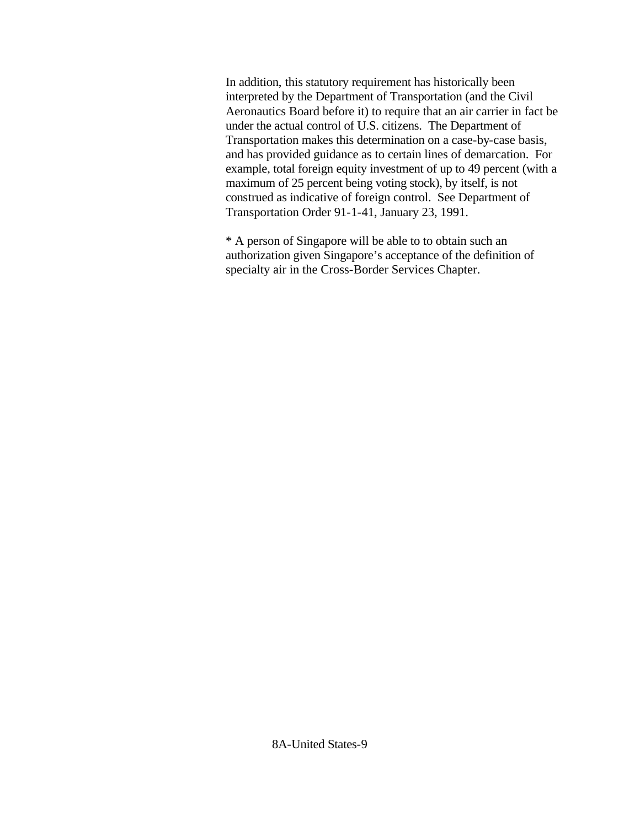In addition, this statutory requirement has historically been interpreted by the Department of Transportation (and the Civil Aeronautics Board before it) to require that an air carrier in fact be under the actual control of U.S. citizens. The Department of Transportation makes this determination on a case-by-case basis, and has provided guidance as to certain lines of demarcation. For example, total foreign equity investment of up to 49 percent (with a maximum of 25 percent being voting stock), by itself, is not construed as indicative of foreign control. See Department of Transportation Order 91-1-41, January 23, 1991.

\* A person of Singapore will be able to to obtain such an authorization given Singapore's acceptance of the definition of specialty air in the Cross-Border Services Chapter.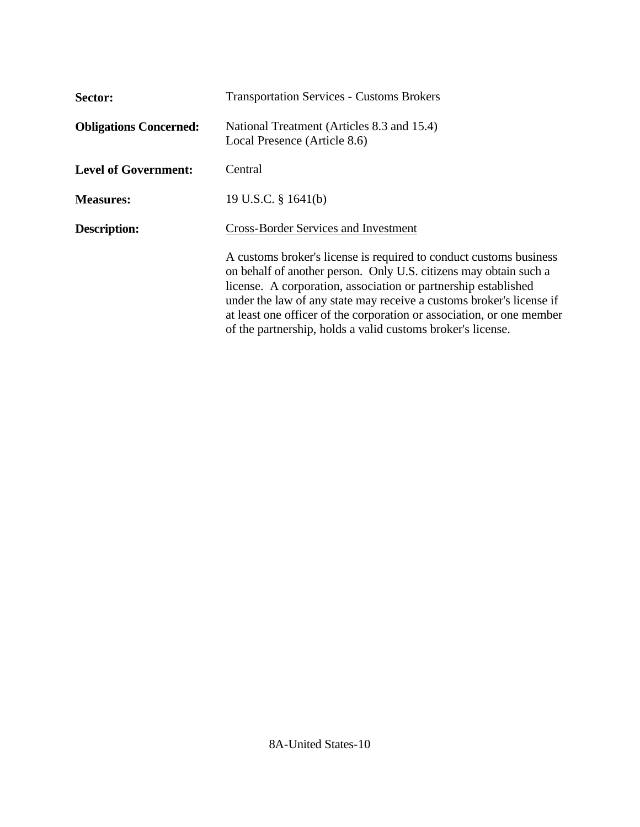| Sector:                       | <b>Transportation Services - Customs Brokers</b>                                                                                                                                                                                                                                                                                                                                                                          |  |
|-------------------------------|---------------------------------------------------------------------------------------------------------------------------------------------------------------------------------------------------------------------------------------------------------------------------------------------------------------------------------------------------------------------------------------------------------------------------|--|
| <b>Obligations Concerned:</b> | National Treatment (Articles 8.3 and 15.4)<br>Local Presence (Article 8.6)                                                                                                                                                                                                                                                                                                                                                |  |
| <b>Level of Government:</b>   | Central                                                                                                                                                                                                                                                                                                                                                                                                                   |  |
| <b>Measures:</b>              | 19 U.S.C. § 1641(b)                                                                                                                                                                                                                                                                                                                                                                                                       |  |
| <b>Description:</b>           | <b>Cross-Border Services and Investment</b>                                                                                                                                                                                                                                                                                                                                                                               |  |
|                               | A customs broker's license is required to conduct customs business<br>on behalf of another person. Only U.S. citizens may obtain such a<br>license. A corporation, association or partnership established<br>under the law of any state may receive a customs broker's license if<br>at least one officer of the corporation or association, or one member<br>of the partnership, holds a valid customs broker's license. |  |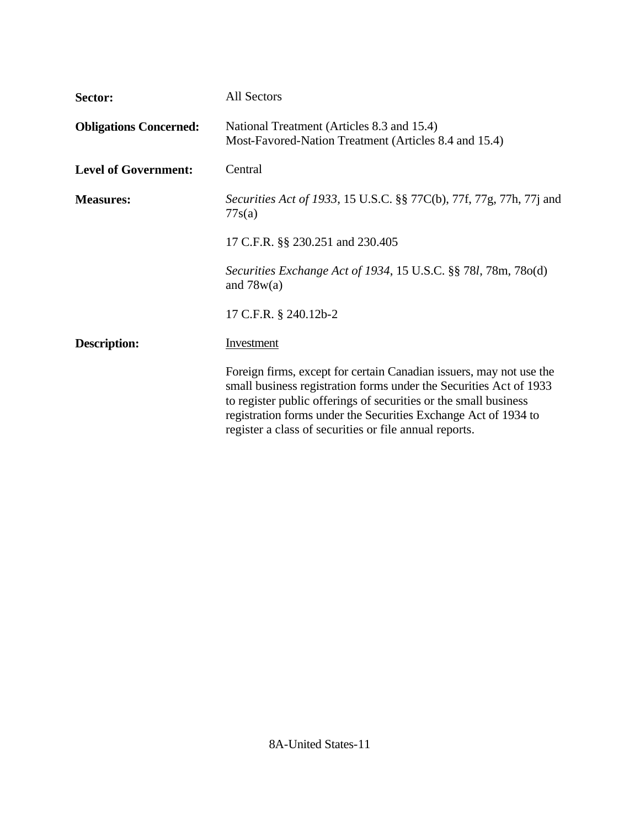| Sector:                       | All Sectors                                                                                                                                                                                                                                                                                                                                |  |
|-------------------------------|--------------------------------------------------------------------------------------------------------------------------------------------------------------------------------------------------------------------------------------------------------------------------------------------------------------------------------------------|--|
| <b>Obligations Concerned:</b> | National Treatment (Articles 8.3 and 15.4)<br>Most-Favored-Nation Treatment (Articles 8.4 and 15.4)                                                                                                                                                                                                                                        |  |
| <b>Level of Government:</b>   | Central                                                                                                                                                                                                                                                                                                                                    |  |
| <b>Measures:</b>              | Securities Act of 1933, 15 U.S.C. §§ 77C(b), 77f, 77g, 77h, 77j and<br>77s(a)                                                                                                                                                                                                                                                              |  |
|                               | 17 C.F.R. §§ 230.251 and 230.405                                                                                                                                                                                                                                                                                                           |  |
|                               | Securities Exchange Act of 1934, 15 U.S.C. §§ 781, 78m, 78o(d)<br>and $78w(a)$                                                                                                                                                                                                                                                             |  |
|                               | 17 C.F.R. § 240.12b-2                                                                                                                                                                                                                                                                                                                      |  |
| <b>Description:</b>           | Investment                                                                                                                                                                                                                                                                                                                                 |  |
|                               | Foreign firms, except for certain Canadian issuers, may not use the<br>small business registration forms under the Securities Act of 1933<br>to register public offerings of securities or the small business<br>registration forms under the Securities Exchange Act of 1934 to<br>register a class of securities or file annual reports. |  |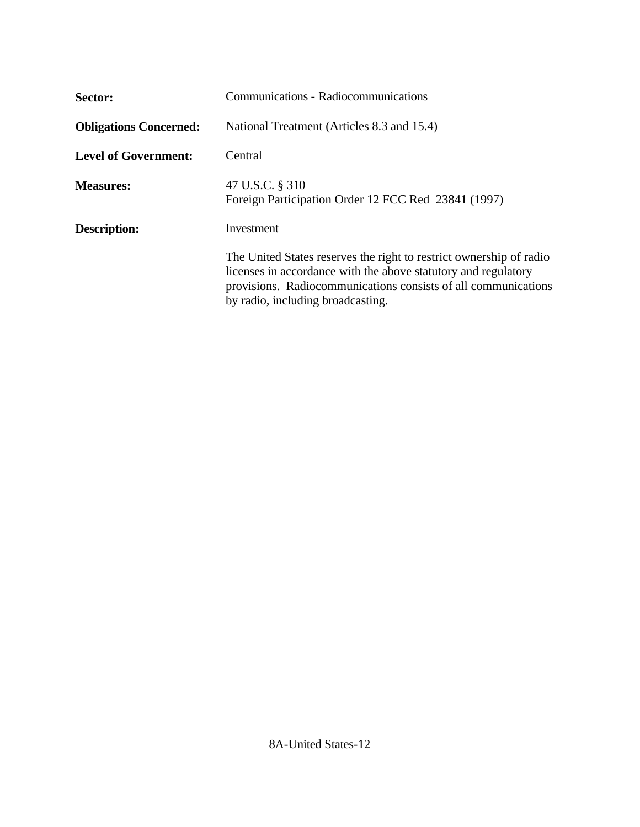| Sector:                       | Communications - Radiocommunications                                                                                                                                                                                                         |  |  |
|-------------------------------|----------------------------------------------------------------------------------------------------------------------------------------------------------------------------------------------------------------------------------------------|--|--|
| <b>Obligations Concerned:</b> | National Treatment (Articles 8.3 and 15.4)                                                                                                                                                                                                   |  |  |
| <b>Level of Government:</b>   | Central                                                                                                                                                                                                                                      |  |  |
| <b>Measures:</b>              | 47 U.S.C. § 310<br>Foreign Participation Order 12 FCC Red 23841 (1997)                                                                                                                                                                       |  |  |
| <b>Description:</b>           | Investment                                                                                                                                                                                                                                   |  |  |
|                               | The United States reserves the right to restrict ownership of radio<br>licenses in accordance with the above statutory and regulatory<br>provisions. Radiocommunications consists of all communications<br>by radio, including broadcasting. |  |  |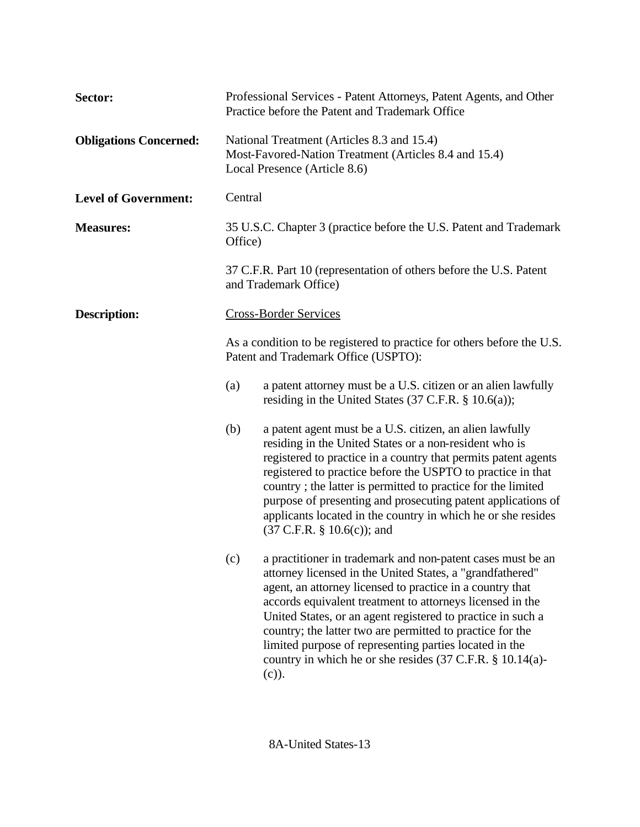| Sector:                       | Professional Services - Patent Attorneys, Patent Agents, and Other<br>Practice before the Patent and Trademark Office                                                                                                                             |                                                                                                                                                                                                                                                                                                                                                                                                                                                                                                                               |  |
|-------------------------------|---------------------------------------------------------------------------------------------------------------------------------------------------------------------------------------------------------------------------------------------------|-------------------------------------------------------------------------------------------------------------------------------------------------------------------------------------------------------------------------------------------------------------------------------------------------------------------------------------------------------------------------------------------------------------------------------------------------------------------------------------------------------------------------------|--|
| <b>Obligations Concerned:</b> | National Treatment (Articles 8.3 and 15.4)<br>Most-Favored-Nation Treatment (Articles 8.4 and 15.4)<br>Local Presence (Article 8.6)                                                                                                               |                                                                                                                                                                                                                                                                                                                                                                                                                                                                                                                               |  |
| <b>Level of Government:</b>   | Central                                                                                                                                                                                                                                           |                                                                                                                                                                                                                                                                                                                                                                                                                                                                                                                               |  |
| <b>Measures:</b>              | 35 U.S.C. Chapter 3 (practice before the U.S. Patent and Trademark<br>Office)                                                                                                                                                                     |                                                                                                                                                                                                                                                                                                                                                                                                                                                                                                                               |  |
|                               |                                                                                                                                                                                                                                                   | 37 C.F.R. Part 10 (representation of others before the U.S. Patent<br>and Trademark Office)                                                                                                                                                                                                                                                                                                                                                                                                                                   |  |
| <b>Description:</b>           |                                                                                                                                                                                                                                                   | <b>Cross-Border Services</b>                                                                                                                                                                                                                                                                                                                                                                                                                                                                                                  |  |
|                               | As a condition to be registered to practice for others before the U.S.<br>Patent and Trademark Office (USPTO):<br>(a)<br>a patent attorney must be a U.S. citizen or an alien lawfully<br>residing in the United States (37 C.F.R. $\S$ 10.6(a)); |                                                                                                                                                                                                                                                                                                                                                                                                                                                                                                                               |  |
|                               |                                                                                                                                                                                                                                                   |                                                                                                                                                                                                                                                                                                                                                                                                                                                                                                                               |  |
|                               | (b)                                                                                                                                                                                                                                               | a patent agent must be a U.S. citizen, an alien lawfully<br>residing in the United States or a non-resident who is<br>registered to practice in a country that permits patent agents<br>registered to practice before the USPTO to practice in that<br>country; the latter is permitted to practice for the limited<br>purpose of presenting and prosecuting patent applications of<br>applicants located in the country in which he or she resides<br>$(37 \text{ C.F.R. } § 10.6(c))$ ; and                                 |  |
|                               | (c)                                                                                                                                                                                                                                               | a practitioner in trademark and non-patent cases must be an<br>attorney licensed in the United States, a "grandfathered"<br>agent, an attorney licensed to practice in a country that<br>accords equivalent treatment to attorneys licensed in the<br>United States, or an agent registered to practice in such a<br>country; the latter two are permitted to practice for the<br>limited purpose of representing parties located in the<br>country in which he or she resides $(37 \text{ C.F.R. } § 10.14(a)$ -<br>$(c)$ ). |  |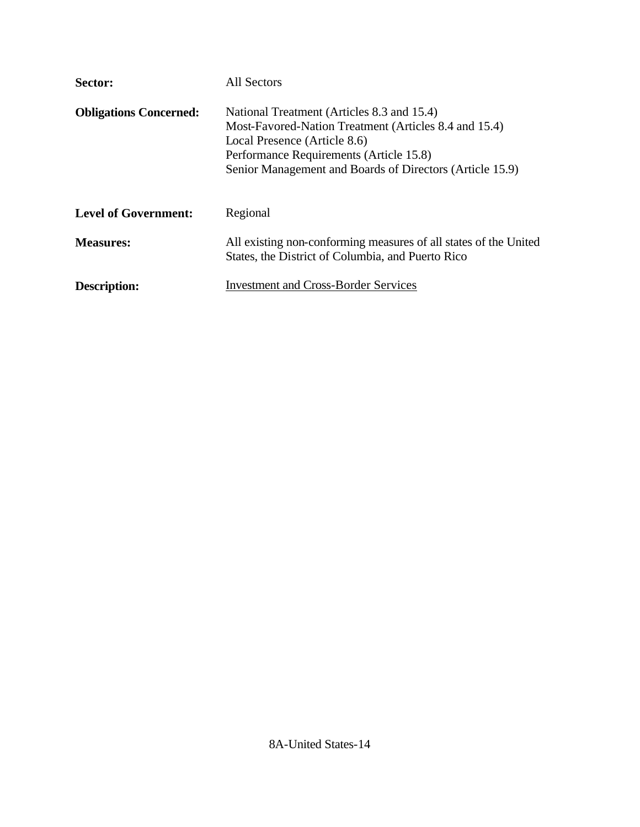| Sector:                       | <b>All Sectors</b>                                                                                                                                                                                                                         |  |
|-------------------------------|--------------------------------------------------------------------------------------------------------------------------------------------------------------------------------------------------------------------------------------------|--|
| <b>Obligations Concerned:</b> | National Treatment (Articles 8.3 and 15.4)<br>Most-Favored-Nation Treatment (Articles 8.4 and 15.4)<br>Local Presence (Article 8.6)<br>Performance Requirements (Article 15.8)<br>Senior Management and Boards of Directors (Article 15.9) |  |
| <b>Level of Government:</b>   | Regional                                                                                                                                                                                                                                   |  |
| <b>Measures:</b>              | All existing non-conforming measures of all states of the United<br>States, the District of Columbia, and Puerto Rico                                                                                                                      |  |
| <b>Description:</b>           | <b>Investment and Cross-Border Services</b>                                                                                                                                                                                                |  |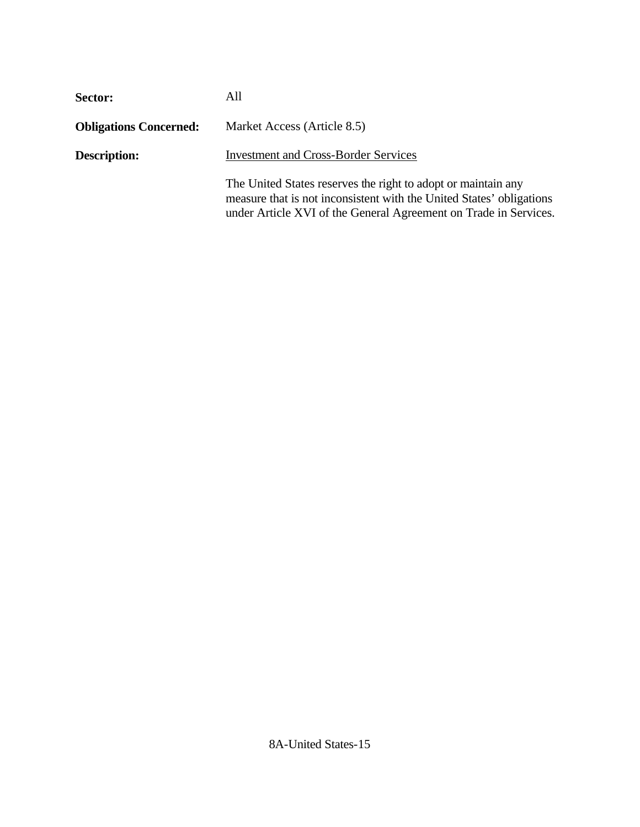| Sector:                       | All                                                                                                                                                                                                       |  |
|-------------------------------|-----------------------------------------------------------------------------------------------------------------------------------------------------------------------------------------------------------|--|
| <b>Obligations Concerned:</b> | Market Access (Article 8.5)                                                                                                                                                                               |  |
| <b>Description:</b>           | <b>Investment and Cross-Border Services</b>                                                                                                                                                               |  |
|                               | The United States reserves the right to adopt or maintain any<br>measure that is not inconsistent with the United States' obligations<br>under Article XVI of the General Agreement on Trade in Services. |  |